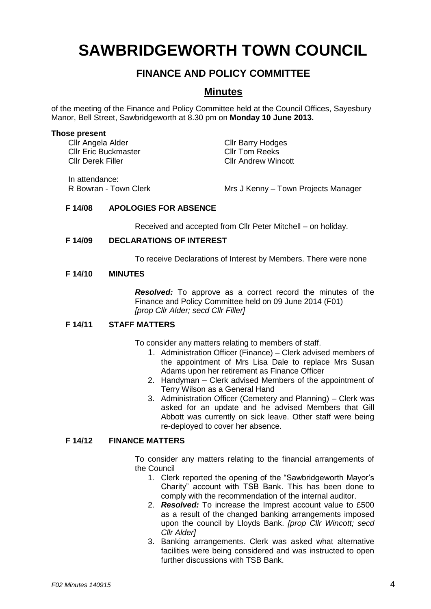# **SAWBRIDGEWORTH TOWN COUNCIL**

## **FINANCE AND POLICY COMMITTEE**

### **Minutes**

of the meeting of the Finance and Policy Committee held at the Council Offices, Sayesbury Manor, Bell Street, Sawbridgeworth at 8.30 pm on **Monday 10 June 2013.**

#### **Those present**

Cllr Angela Alder Cllr Barry Hodges<br>
Cllr Eric Buckmaster Cllr Tom Reeks Cllr Eric Buckmaster Cllr Derek Filler Cllr Andrew Wincott

In attendance:

R Bowran - Town Clerk Mrs J Kenny – Town Projects Manager

#### **F 14/08 APOLOGIES FOR ABSENCE**

Received and accepted from Cllr Peter Mitchell – on holiday.

#### **F 14/09 DECLARATIONS OF INTEREST**

To receive Declarations of Interest by Members. There were none

#### **F 14/10 MINUTES**

*Resolved:* To approve as a correct record the minutes of the Finance and Policy Committee held on 09 June 2014 (F01) *[prop Cllr Alder; secd Cllr Filler]*

#### **F 14/11 STAFF MATTERS**

To consider any matters relating to members of staff.

- 1. Administration Officer (Finance) Clerk advised members of the appointment of Mrs Lisa Dale to replace Mrs Susan Adams upon her retirement as Finance Officer
- 2. Handyman Clerk advised Members of the appointment of Terry Wilson as a General Hand
- 3. Administration Officer (Cemetery and Planning) Clerk was asked for an update and he advised Members that Gill Abbott was currently on sick leave. Other staff were being re-deployed to cover her absence.

#### **F 14/12 FINANCE MATTERS**

To consider any matters relating to the financial arrangements of the Council

- 1. Clerk reported the opening of the "Sawbridgeworth Mayor's Charity" account with TSB Bank. This has been done to comply with the recommendation of the internal auditor.
- 2. *Resolved:* To increase the Imprest account value to £500 as a result of the changed banking arrangements imposed upon the council by Lloyds Bank. *[prop Cllr Wincott; secd Cllr Alder]*
- 3. Banking arrangements. Clerk was asked what alternative facilities were being considered and was instructed to open further discussions with TSB Bank.